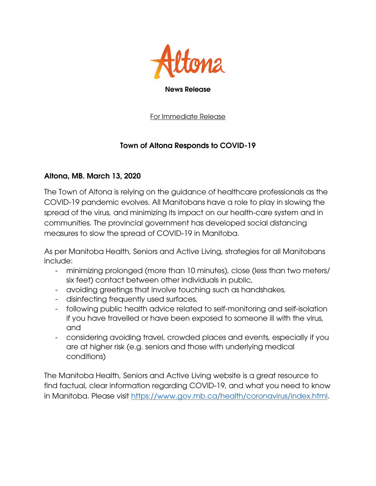

## News Release

For Immediate Release

## Town of Altona Responds to COVID-19

## Altona, MB. March 13, 2020

The Town of Altona is relying on the guidance of healthcare professionals as the COVID-19 pandemic evolves. All Manitobans have a role to play in slowing the spread of the virus, and minimizing its impact on our health-care system and in communities. The provincial government has developed social distancing measures to slow the spread of COVID-19 in Manitoba.

As per Manitoba Health, Seniors and Active Living, strategies for all Manitobans include:

- minimizing prolonged (more than 10 minutes), close (less than two meters/ six feet) contact between other individuals in public,
- avoiding greetings that involve touching such as handshakes,
- disinfecting frequently used surfaces,
- following public health advice related to self-monitoring and self-isolation if you have travelled or have been exposed to someone ill with the virus, and
- considering avoiding travel, crowded places and events, especially if you are at higher risk (e.g. seniors and those with underlying medical conditions)

The Manitoba Health, Seniors and Active Living website is a great resource to find factual, clear information regarding COVID-19, and what you need to know in Manitoba. Please visit [https://www.gov.mb.ca/health/coronavirus/index.html.](https://www.gov.mb.ca/health/coronavirus/index.html)